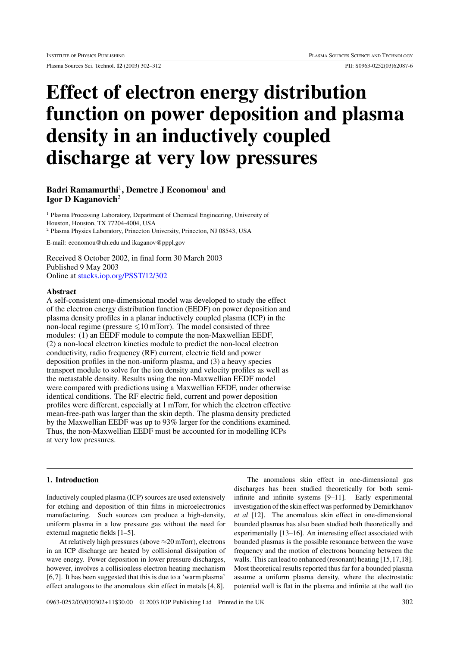Plasma Sources Sci. Technol. **12** (2003) 302–312 PII: S0963-0252(03)62087-6

# **Effect of electron energy distribution function on power deposition and plasma density in an inductively coupled discharge at very low pressures**

# **Badri Ramamurthi**<sup>1</sup>**, Demetre J Economou**<sup>1</sup> **and Igor D Kaganovich**<sup>2</sup>

<sup>1</sup> Plasma Processing Laboratory, Department of Chemical Engineering, University of Houston, Houston, TX 77204-4004, USA <sup>2</sup> Plasma Physics Laboratory, Princeton University, Princeton, NJ 08543, USA

E-mail: economou@uh.edu and ikaganov@pppl.gov

Received 8 October 2002, in final form 30 March 2003 Published 9 May 2003 Online at [stacks.iop.org/PSST/12/302](http://stacks.iop.org/ps/12/302)

#### **Abstract**

A self-consistent one-dimensional model was developed to study the effect of the electron energy distribution function (EEDF) on power deposition and plasma density profiles in a planar inductively coupled plasma (ICP) in the non-local regime (pressure  $\leq 10$  mTorr). The model consisted of three modules: (1) an EEDF module to compute the non-Maxwellian EEDF, (2) a non-local electron kinetics module to predict the non-local electron conductivity, radio frequency (RF) current, electric field and power deposition profiles in the non-uniform plasma, and (3) a heavy species transport module to solve for the ion density and velocity profiles as well as the metastable density. Results using the non-Maxwellian EEDF model were compared with predictions using a Maxwellian EEDF, under otherwise identical conditions. The RF electric field, current and power deposition profiles were different, especially at 1 mTorr, for which the electron effective mean-free-path was larger than the skin depth. The plasma density predicted by the Maxwellian EEDF was up to 93% larger for the conditions examined. Thus, the non-Maxwellian EEDF must be accounted for in modelling ICPs at very low pressures.

## **1. Introduction**

Inductively coupled plasma (ICP) sources are used extensively for etching and deposition of thin films in microelectronics manufacturing. Such sources can produce a high-density, uniform plasma in a low pressure gas without the need for external magnetic fields [1–5].

At relatively high pressures (above  $\approx$  20 mTorr), electrons in an ICP discharge are heated by collisional dissipation of wave energy. Power deposition in lower pressure discharges, however, involves a collisionless electron heating mechanism [6,7]. It has been suggested that this is due to a 'warm plasma' effect analogous to the anomalous skin effect in metals [4, 8].

The anomalous skin effect in one-dimensional gas discharges has been studied theoretically for both semiinfinite and infinite systems [9–11]. Early experimental investigation of the skin effect was performed by Demirkhanov *et al* [12]. The anomalous skin effect in one-dimensional bounded plasmas has also been studied both theoretically and experimentally [13–16]. An interesting effect associated with bounded plasmas is the possible resonance between the wave frequency and the motion of electrons bouncing between the walls. This can lead to enhanced (resonant) heating [15,17,18]. Most theoretical results reported thus far for a bounded plasma assume a uniform plasma density, where the electrostatic potential well is flat in the plasma and infinite at the wall (to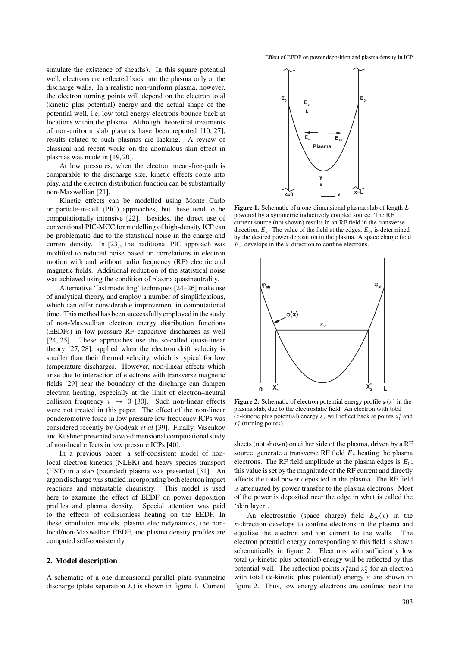simulate the existence of sheaths). In this square potential well, electrons are reflected back into the plasma only at the discharge walls. In a realistic non-uniform plasma, however, the electron turning points will depend on the electron total (kinetic plus potential) energy and the actual shape of the potential well, i.e. low total energy electrons bounce back at locations within the plasma. Although theoretical treatments of non-uniform slab plasmas have been reported [10, 27], results related to such plasmas are lacking. A review of classical and recent works on the anomalous skin effect in plasmas was made in [19, 20].

At low pressures, when the electron mean-free-path is comparable to the discharge size, kinetic effects come into play, and the electron distribution function can be substantially non-Maxwellian [21].

Kinetic effects can be modelled using Monte Carlo or particle-in-cell (PIC) approaches, but these tend to be computationally intensive [22]. Besides, the direct use of conventional PIC-MCC for modelling of high-density ICP can be problematic due to the statistical noise in the charge and current density. In [23], the traditional PIC approach was modified to reduced noise based on correlations in electron motion with and without radio frequency (RF) electric and magnetic fields. Additional reduction of the statistical noise was achieved using the condition of plasma quasineutrality.

Alternative 'fast modelling' techniques [24–26] make use of analytical theory, and employ a number of simplifications, which can offer considerable improvement in computational time. This method has been successfully employed in the study of non-Maxwellian electron energy distribution functions (EEDFs) in low-pressure RF capacitive discharges as well [24, 25]. These approaches use the so-called quasi-linear theory [27, 28], applied when the electron drift velocity is smaller than their thermal velocity, which is typical for low temperature discharges. However, non-linear effects which arise due to interaction of electrons with transverse magnetic fields [29] near the boundary of the discharge can dampen electron heating, especially at the limit of electron–neutral collision frequency  $v \rightarrow 0$  [30]. Such non-linear effects were not treated in this paper. The effect of the non-linear ponderomotive force in low pressure low frequency ICPs was considered recently by Godyak *et al* [39]. Finally, Vasenkov and Kushner presented a two-dimensional computational study of non-local effects in low pressure ICPs [40].

In a previous paper, a self-consistent model of nonlocal electron kinetics (NLEK) and heavy species transport (HST) in a slab (bounded) plasma was presented [31]. An argon discharge was studied incorporating both electron impact reactions and metastable chemistry. This model is used here to examine the effect of EEDF on power deposition profiles and plasma density. Special attention was paid to the effects of collisionless heating on the EEDF. In these simulation models, plasma electrodynamics, the nonlocal/non-Maxwellian EEDF, and plasma density profiles are computed self-consistently.

#### **2. Model description**

A schematic of a one-dimensional parallel plate symmetric discharge (plate separation *L*) is shown in figure 1. Current



**Figure 1.** Schematic of a one-dimensional plasma slab of length *L* powered by a symmetric inductively coupled source. The RF current source (not shown) results in an RF field in the transverse direction,  $E_y$ . The value of the field at the edges,  $E_0$ , is determined by the desired power deposition in the plasma. A space charge field  $E_{\rm sc}$  develops in the *x*-direction to confine electrons.



**Figure 2.** Schematic of electron potential energy profile  $\varphi(x)$  in the plasma slab, due to the electrostatic field. An electron with total (*x*-kinetic plus potential) energy  $\varepsilon_x$  will reflect back at points  $x_1^*$  and *x*∗ <sup>2</sup> (turning points).

sheets (not shown) on either side of the plasma, driven by a RF source, generate a transverse RF field  $E<sub>v</sub>$  heating the plasma electrons. The RF field amplitude at the plasma edges is *E*0; this value is set by the magnitude of the RF current and directly affects the total power deposited in the plasma. The RF field is attenuated by power transfer to the plasma electrons. Most of the power is deposited near the edge in what is called the 'skin layer'.

An electrostatic (space charge) field  $E_{\rm sc}(x)$  in the *x*-direction develops to confine electrons in the plasma and equalize the electron and ion current to the walls. The electron potential energy corresponding to this field is shown schematically in figure 2. Electrons with sufficiently low total (*x*-kinetic plus potential) energy will be reflected by this potential well. The reflection points  $x_1^*$  and  $x_2^*$  for an electron with total (*x*-kinetic plus potential) energy *ε* are shown in figure 2. Thus, low energy electrons are confined near the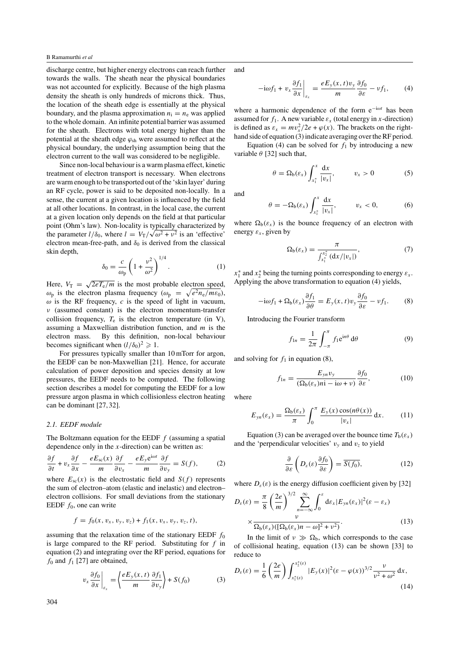discharge centre, but higher energy electrons can reach further towards the walls. The sheath near the physical boundaries was not accounted for explicitly. Because of the high plasma density the sheath is only hundreds of microns thick. Thus, the location of the sheath edge is essentially at the physical boundary, and the plasma approximation  $n_i = n_e$  was applied to the whole domain. An infinite potential barrier was assumed for the sheath. Electrons with total energy higher than the potential at the sheath edge *ϕ*sh were assumed to reflect at the physical boundary, the underlying assumption being that the electron current to the wall was considered to be negligible.

Since non-local behaviour is a warm plasma effect, kinetic treatment of electron transport is necessary. When electrons are warm enough to be transported out of the 'skin layer' during an RF cycle, power is said to be deposited non-locally. In a sense, the current at a given location is influenced by the field at all other locations. In contrast, in the local case, the current at a given location only depends on the field at that particular point (Ohm's law). Non-locality is typically characterized by the parameter  $l/\delta_0$ , where  $l = V_T/\sqrt{\omega^2 + v^2}$  is an 'effective' electron mean-free-path, and  $\delta_0$  is derived from the classical skin depth,

$$
\delta_0 = \frac{c}{\omega_p} \left( 1 + \frac{v^2}{\omega^2} \right)^{1/4}.
$$
 (1)

Here,  $V_T = \sqrt{2eT_e/m}$  is the most probable electron speed,  $\omega_{\rm p}$  is the electron plasma frequency ( $\omega_{\rm p} = \sqrt{e^2 n_{\rm e}/m \epsilon_0}$ ),  $\omega$  is the RF frequency, *c* is the speed of light in vacuum, *ν* (assumed constant) is the electron momentum-transfer collision frequency,  $T_e$  is the electron temperature (in V), assuming a Maxwellian distribution function, and *m* is the electron mass. By this definition, non-local behaviour becomes significant when  $(l/\delta_0)^2 \geq 1$ .

For pressures typically smaller than 10 mTorr for argon, the EEDF can be non-Maxwellian [21]. Hence, for accurate calculation of power deposition and species density at low pressures, the EEDF needs to be computed. The following section describes a model for computing the EEDF for a low pressure argon plasma in which collisionless electron heating can be dominant [27, 32].

#### *2.1. EEDF module*

The Boltzmann equation for the EEDF *f* (assuming a spatial dependence only in the *x*-direction) can be written as:

$$
\frac{\partial f}{\partial t} + v_x \frac{\partial f}{\partial x} - \frac{eE_{sc}(x)}{m} \frac{\partial f}{\partial v_x} - \frac{eE_y e^{i\omega t}}{m} \frac{\partial f}{\partial v_y} = S(f),\tag{2}
$$

where  $E_{sc}(x)$  is the electrostatic field and  $S(f)$  represents the sum of electron–atom (elastic and inelastic) and electron– electron collisions. For small deviations from the stationary EEDF  $f_0$ , one can write

$$
f = f_0(x, v_x, v_y, v_z) + f_1(x, v_x, v_y, v_z, t),
$$

assuming that the relaxation time of the stationary EEDF *f*<sup>0</sup> is large compared to the RF period. Substituting for *f* in equation (2) and integrating over the RF period, equations for  $f_0$  and  $f_1$  [27] are obtained,

$$
v_x \frac{\partial f_0}{\partial x}\bigg|_{\varepsilon_x} = \left\langle \frac{eE_y(x,t)}{m} \frac{\partial f_1}{\partial v_y} \right\rangle + S(f_0) \tag{3}
$$

and

$$
-i\omega f_1 + v_x \frac{\partial f_1}{\partial x}\bigg|_{\varepsilon_x} = \frac{eE_y(x,t)v_y}{m} \frac{\partial f_0}{\partial \varepsilon} - v f_1,\qquad(4)
$$

where a harmonic dependence of the form e−i*ωt* has been assumed for  $f_1$ . A new variable  $\varepsilon_x$  (total energy in *x*-direction) is defined as  $\varepsilon_x = mv_x^2/2e + \varphi(x)$ . The brackets on the righthand side of equation (3) indicate averaging over the RF period.

Equation (4) can be solved for  $f_1$  by introducing a new variable  $\theta$  [32] such that,

$$
\theta = \Omega_{\mathbf{b}}(\varepsilon_x) \int_{x_1^*}^x \frac{\mathrm{d}x}{|v_x|}, \qquad v_x > 0 \tag{5}
$$

and

$$
\theta = -\Omega_{\mathbf{b}}(\varepsilon_x) \int_{x_1^*}^x \frac{\mathrm{d}x}{|v_x|}, \qquad v_x < 0,\tag{6}
$$

where  $\Omega_b(\varepsilon_x)$  is the bounce frequency of an electron with energy  $\varepsilon_x$ , given by

$$
\Omega_{b}(\varepsilon_{x}) = \frac{\pi}{\int_{x_{1}^{*}}^{x_{2}^{*}} (\mathrm{d}x/|v_{x}|)},
$$
\n(7)

 $x_1^*$  and  $x_2^*$  being the turning points corresponding to energy  $\varepsilon_x$ . Applying the above transformation to equation (4) yields,

$$
-i\omega f_1 + \Omega_b(\varepsilon_x) \frac{\partial f_1}{\partial \theta} = E_y(x, t) v_y \frac{\partial f_0}{\partial \varepsilon} - v f_1.
$$
 (8)

Introducing the Fourier transform

$$
f_{1n} = \frac{1}{2\pi} \int_{-\pi}^{\pi} f_1 e^{in\theta} d\theta
$$
 (9)

and solving for  $f_1$  in equation (8),

$$
f_{1n} = \frac{E_{yn}v_y}{(\Omega_b(\varepsilon_x)n\mathbf{i} - \mathbf{i}\omega + v)} \frac{\partial f_0}{\partial \varepsilon},\tag{10}
$$

where

$$
E_{yn}(\varepsilon_x) = \frac{\Omega_b(\varepsilon_x)}{\pi} \int_0^\pi \frac{E_y(x) \cos(n\theta(x))}{|v_x|} dx.
$$
 (11)

Equation (3) can be averaged over the bounce time  $T_b(\varepsilon_x)$ and the 'perpendicular velocities'  $v_y$  and  $v_z$  to yield

$$
\frac{\partial}{\partial \varepsilon} \left( D_{\varepsilon}(\varepsilon) \frac{\partial f_0}{\partial \varepsilon} \right) = \overline{S(f_0)},\tag{12}
$$

where  $D_{\varepsilon}(\varepsilon)$  is the energy diffusion coefficient given by [32]

$$
D_{\varepsilon}(\varepsilon) = \frac{\pi}{8} \left( \frac{2e}{m} \right)^{3/2} \sum_{n=-\infty}^{\infty} \int_{0}^{\varepsilon} d\varepsilon_{x} |E_{yn}(\varepsilon_{x})|^{2} (\varepsilon - \varepsilon_{x})
$$

$$
\times \frac{\nu}{\Omega_{b}(\varepsilon_{x}) (\left[ \Omega_{b}(\varepsilon_{x}) n - \omega \right]^{2} + \nu^{2})}.
$$
(13)

In the limit of  $\nu \gg \Omega_b$ , which corresponds to the case of collisional heating, equation (13) can be shown [33] to reduce to

$$
D_{\varepsilon}(\varepsilon) = \frac{1}{6} \left( \frac{2e}{m} \right) \int_{x_1^*(\varepsilon)}^{x_2^*(\varepsilon)} |E_y(x)|^2 (\varepsilon - \varphi(x))^{3/2} \frac{\nu}{\nu^2 + \omega^2} dx,
$$
\n(14)

304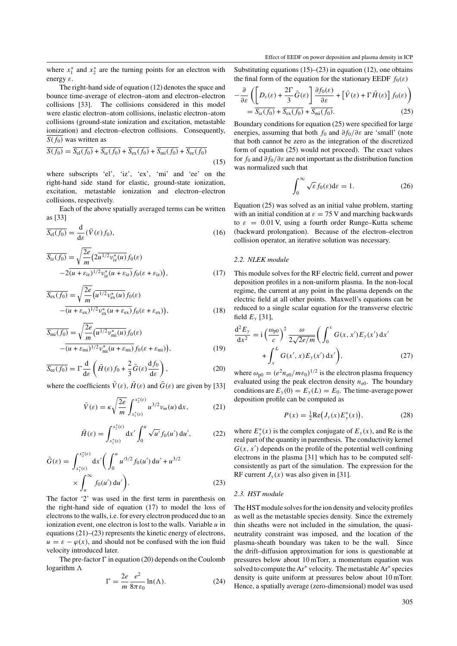where  $x_1^*$  and  $x_2^*$  are the turning points for an electron with energy *ε*.

The right-hand side of equation (12) denotes the space and bounce time-average of electron–atom and electron–electron collisions [33]. The collisions considered in this model were elastic electron–atom collisions, inelastic electron–atom collisions (ground-state ionization and excitation, metastable ionization) and electron–electron collisions. Consequently,  $S(f_0)$  was written as

$$
\overline{S(f_0)} = \overline{S_{\text{el}}(f_0)} + \overline{S_{\text{iz}}(f_0)} + \overline{S_{\text{ex}}(f_0)} + \overline{S_{\text{mi}}(f_0)} + \overline{S_{\text{ee}}(f_0)}
$$
\n(15)

where subscripts 'el', 'iz', 'ex', 'mi' and 'ee' on the right-hand side stand for elastic, ground-state ionization, excitation, metastable ionization and electron–electron collisions, respectively.

Each of the above spatially averaged terms can be written as [33]

$$
\overline{S_{\rm el}(f_0)} = \frac{\mathrm{d}}{\mathrm{d}\varepsilon} (\bar{V}(\varepsilon)f_0),\tag{16}
$$

$$
\overline{S_{iz}(f_0)} = \sqrt{\frac{2e}{m}} \left( 2\overline{u^{1/2}v_{iz}^*(u)} f_0(\varepsilon) -2\overline{(u+\varepsilon_{iz})^{1/2}v_{iz}^*(u+\varepsilon_{iz})} f_0(\varepsilon+\varepsilon_{iz}) \right),
$$
\n(17)

$$
\overline{S_{\text{ex}}(f_0)} = \sqrt{\frac{2e}{m}} \overline{\left(u^{1/2} v_{\text{ex}}^*(u) f_0(\varepsilon)\right)} - \overline{\left(u + \varepsilon_{\text{ex}}\right)^{1/2} v_{\text{ex}}^*(u + \varepsilon_{\text{ex}})} f_0(\varepsilon + \varepsilon_{\text{ex}}),
$$
\n(18)

$$
\overline{S_{mi}(f_0)} = \sqrt{\frac{2e}{m}} \overline{(u^{1/2}v_{mi}^*(u)} f_0(\varepsilon) -\overline{(u + \varepsilon_{mi})^{1/2}v_{mi}^*(u + \varepsilon_{mi})} f_0(\varepsilon + \varepsilon_{mi})},
$$
\n(19)

$$
\overline{S_{\rm ee}(f_0)} = \Gamma \frac{d}{d\varepsilon} \left( \bar{H}(\varepsilon) f_0 + \frac{2}{3} \bar{G}(\varepsilon) \frac{d f_0}{d\varepsilon} \right),\tag{20}
$$

where the coefficients  $\bar{V}(\varepsilon)$ ,  $\bar{H}(\varepsilon)$  and  $\bar{G}(\varepsilon)$  are given by [33]

$$
\bar{V}(\varepsilon) = \kappa \sqrt{\frac{2e}{m}} \int_{x_1^*(\varepsilon)}^{x_2^*(\varepsilon)} u^{3/2} \nu_m(u) \, \mathrm{d}x,\tag{21}
$$

$$
\bar{H}(\varepsilon) = \int_{x_1^*(\varepsilon)}^{x_2^*(\varepsilon)} dx' \int_0^u \sqrt{u'} f_0(u') du', \qquad (22)
$$

$$
\bar{G}(\varepsilon) = \int_{x_1^*(\varepsilon)}^{x_2^*(\varepsilon)} dx' \bigg( \int_0^u u'^{3/2} f_0(u') du' + u^{3/2} \times \int_u^\infty f_0(u') du' \bigg). \tag{23}
$$

The factor '2' was used in the first term in parenthesis on the right-hand side of equation (17) to model the loss of electrons to the walls, i.e. for every electron produced due to an ionization event, one electron is lost to the walls. Variable *u* in equations (21)–(23) represents the kinetic energy of electrons,  $u = \varepsilon - \varphi(x)$ , and should not be confused with the ion fluid velocity introduced later.

The pre-factor  $\Gamma$  in equation (20) depends on the Coulomb logarithm 

$$
\Gamma = \frac{2e}{m} \frac{e^2}{8\pi\epsilon_0} \ln(\Lambda). \tag{24}
$$

Substituting equations  $(15)$ – $(23)$  in equation  $(12)$ , one obtains the final form of the equation for the stationary EEDF  $f_0(\varepsilon)$ 

$$
-\frac{\partial}{\partial \varepsilon} \left( \left[ D_{\varepsilon}(\varepsilon) + \frac{2\Gamma}{3} \bar{G}(\varepsilon) \right] \frac{\partial f_0(\varepsilon)}{\partial \varepsilon} + \left[ \bar{V}(\varepsilon) + \Gamma \bar{H}(\varepsilon) \right] f_0(\varepsilon) \right) = \overline{S_{iz}(f_0)} + \overline{S_{\text{ex}}(f_0)} + \overline{S_{\text{mi}}(f_0)}.
$$
 (25)

Boundary conditions for equation (25) were specified for large energies, assuming that both *f*<sup>0</sup> and *∂f*0*/∂ε* are 'small' (note that both cannot be zero as the integration of the discretized form of equation (25) would not proceed). The exact values for *f*<sup>0</sup> and *∂f*0*/∂ε* are not important as the distribution function was normalized such that

$$
\int_0^\infty \sqrt{\varepsilon} f_0(\varepsilon) \mathrm{d}\varepsilon = 1. \tag{26}
$$

Equation (25) was solved as an initial value problem, starting with an initial condition at  $\varepsilon = 75$  V and marching backwards to  $\varepsilon = 0.01$  V, using a fourth order Runge–Kutta scheme (backward prolongation). Because of the electron–electron collision operator, an iterative solution was necessary.

## *2.2. NLEK module*

This module solves for the RF electric field, current and power deposition profiles in a non-uniform plasma. In the non-local regime, the current at any point in the plasma depends on the electric field at all other points. Maxwell's equations can be reduced to a single scalar equation for the transverse electric field  $E_y$  [31],

$$
\frac{d^2 E_y}{dx^2} = i \left(\frac{\omega_{p0}}{c}\right)^2 \frac{\omega}{2\sqrt{2e/m}} \left(\int_0^x G(x, x') E_y(x') dx' + \int_x^L G(x', x) E_y(x') dx'\right),\tag{27}
$$

where  $\omega_{\rm p0} = (e^2 n_{\rm e0}/m \varepsilon_0)^{1/2}$  is the electron plasma frequency evaluated using the peak electron density  $n_{e0}$ . The boundary conditions are  $E_y(0) = E_y(L) = E_0$ . The time-average power deposition profile can be computed as

$$
P(x) = \frac{1}{2} \text{Re}(J_y(x) E_y^*(x)), \tag{28}
$$

where  $E_y^*(x)$  is the complex conjugate of  $E_y(x)$ , and Re is the real part of the quantity in parenthesis. The conductivity kernel  $G(x, x')$  depends on the profile of the potential well confining electrons in the plasma [31] which has to be computed selfconsistently as part of the simulation. The expression for the RF current  $J_\nu(x)$  was also given in [31].

#### *2.3. HST module*

The HST module solves for the ion density and velocity profiles as well as the metastable species density. Since the extremely thin sheaths were not included in the simulation, the quasineutrality constraint was imposed, and the location of the plasma-sheath boundary was taken to be the wall. Since the drift–diffusion approximation for ions is questionable at pressures below about 10 mTorr, a momentum equation was solved to compute the  $Ar^+$  velocity. The metastable  $Ar^*$  species density is quite uniform at pressures below about 10 mTorr. Hence, a spatially average (zero-dimensional) model was used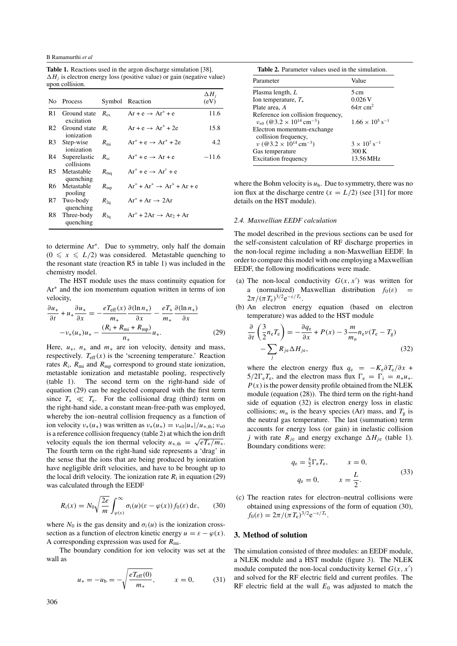**Table 1.** Reactions used in the argon discharge simulation [38].  $\Delta H_i$  is electron energy loss (positive value) or gain (negative value) upon collision.

|    | No Process                                 |                 | Symbol Reaction                         | $\Delta H_i$<br>(eV) |
|----|--------------------------------------------|-----------------|-----------------------------------------|----------------------|
| R1 | Ground state $R_{\text{ex}}$<br>excitation |                 | $Ar + e \rightarrow Ar^* + e$           | 11.6                 |
|    | R <sub>2</sub> Ground state<br>ionization  | $R_i$           | $Ar + e \rightarrow Ar^+ + 2e$          | 15.8                 |
| R3 | Step-wise<br>ionization                    | $R_{\rm mi}$    | $Ar^* + e \rightarrow Ar^+ + 2e$        | 4.2                  |
| R4 | Superelastic<br>collisions                 | $R_{\rm sc}$    | $Ar^* + e \rightarrow Ar + e$           | $-11.6$              |
|    | R5 Metastable<br>quenching                 | $R_{\text{mq}}$ | $Ar^* + e \rightarrow Ar^r + e$         |                      |
|    | R6 Metastable<br>pooling                   | $R_{\rm mp}$    | $Ar^* + Ar^* \rightarrow Ar^* + Ar + e$ |                      |
| R7 | Two-body<br>quenching                      | $R_{2q}$        | $Ar^* + Ar \rightarrow 2Ar$             |                      |
| R8 | Three-body<br>quenching                    | $R_{3q}$        | $Ar^* + 2Ar \rightarrow Ar_2 + Ar$      |                      |

to determine Ar∗. Due to symmetry, only half the domain  $(0 \le x \le L/2)$  was considered. Metastable quenching to the resonant state (reaction R5 in table 1) was included in the chemistry model.

The HST module uses the mass continuity equation for Ar+ and the ion momentum equation written in terms of ion velocity,

$$
\frac{\partial u_+}{\partial t} + u_+ \frac{\partial u_+}{\partial x} = -\frac{eT_{\text{eff}}(x)}{m_+} \frac{\partial (\ln n_+)}{\partial x} - \frac{eT_+}{m_+} \frac{\partial (\ln n_+)}{\partial x}
$$

$$
-v_+(u_+)u_+ - \frac{(R_\text{i} + R_{\text{mi}} + R_{\text{mp}})}{n_+} u_+.
$$
(29)

Here,  $u_+$ ,  $n_+$  and  $m_+$  are ion velocity, density and mass, respectively.  $T_{\text{eff}}(x)$  is the 'screening temperature.' Reaction rates  $R_i$ ,  $R_{mi}$  and  $R_{mp}$  correspond to ground state ionization, metastable ionization and metastable pooling, respectively (table 1). The second term on the right-hand side of equation (29) can be neglected compared with the first term since  $T_+ \ll T_e$ . For the collisional drag (third) term on the right-hand side, a constant mean-free-path was employed, whereby the ion–neutral collision frequency as a function of ion velocity  $v_+(u_+)$  was written as  $v_+(u_+) = v_{+0}|u_+|/u_{+,th}; v_{+0}$ is a reference collision frequency (table 2) at which the ion drift velocity equals the ion thermal velocity  $u_{+,th} = \sqrt{eT_{+}/m_{+}}$ . The fourth term on the right-hand side represents a 'drag' in the sense that the ions that are being produced by ionization have negligible drift velocities, and have to be brought up to the local drift velocity. The ionization rate  $R_i$  in equation (29) was calculated through the EEDF

$$
R_{\rm i}(x) = N_0 \sqrt{\frac{2e}{m}} \int_{\varphi(x)}^{\infty} \sigma_{\rm i}(u) (\varepsilon - \varphi(x)) f_0(\varepsilon) \, \mathrm{d}\varepsilon, \tag{30}
$$

where  $N_0$  is the gas density and  $\sigma_i(u)$  is the ionization crosssection as a function of electron kinetic energy  $u = \varepsilon - \varphi(x)$ . A corresponding expression was used for *R*mi.

The boundary condition for ion velocity was set at the wall as

$$
u_{+} = -u_{b} = -\sqrt{\frac{eT_{\text{eff}}(0)}{m_{+}}}, \qquad x = 0, \qquad (31)
$$

**Table 2.** Parameter values used in the simulation.

| Parameter                                                | Value                              |  |
|----------------------------------------------------------|------------------------------------|--|
| Plasma length, L                                         | 5 cm                               |  |
| Ion temperature, $T_{+}$                                 | 0.026 V                            |  |
| Plate area, A                                            | $64\pi$ cm <sup>2</sup>            |  |
| Reference ion collision frequency,                       |                                    |  |
| $v_{+0}$ (@3.2 × 10 <sup>14</sup> cm <sup>-3</sup> )     | $1.66 \times 10^5$ s <sup>-1</sup> |  |
| Electron momentum-exchange                               |                                    |  |
| collision frequency,                                     |                                    |  |
| $\nu$ (@3.2 $\times$ 10 <sup>14</sup> cm <sup>-3</sup> ) | $3 \times 10^{7}$ s <sup>-1</sup>  |  |
| Gas temperature                                          | 300K                               |  |
| <b>Excitation frequency</b>                              | 13.56 MHz                          |  |

where the Bohm velocity is  $u<sub>b</sub>$ . Due to symmetry, there was no ion flux at the discharge centre  $(x = L/2)$  (see [31] for more details on the HST module).

## *2.4. Maxwellian EEDF calculation*

The model described in the previous sections can be used for the self-consistent calculation of RF discharge properties in the non-local regime including a non-Maxwellian EEDF. In order to compare this model with one employing a Maxwellian EEDF, the following modifications were made.

- (a) The non-local conductivity  $G(x, x')$  was written for a (normalized) Maxwellian distribution  $f_0(ε)$ 2π/(πT<sub>e</sub>)<sup>3/2</sup>e<sup>-*ε/T*e</sup>.
- (b) An electron energy equation (based on electron temperature) was added to the HST module

$$
\frac{\partial}{\partial t} \left( \frac{3}{2} n_e T_e \right) = -\frac{\partial q_e}{\partial x} + P(x) - 3 \frac{m}{m_n} n_e v (T_e - T_g) \n- \sum_j R_{jc} \Delta H_{jc},
$$
\n(32)

where the electron energy flux  $q_e = -K_e \partial T_e / \partial x$  +  $5/2\Gamma_e T_e$ , and the electron mass flux  $\Gamma_e = \Gamma_i = n_+ u_+$ .  $P(x)$  is the power density profile obtained from the NLEK module (equation (28)). The third term on the right-hand side of equation (32) is electron energy loss in elastic collisions;  $m_n$  is the heavy species (Ar) mass, and  $T_g$  is the neutral gas temperature. The last (summation) term accounts for energy loss (or gain) in inelastic collision *j* with rate  $R_{j_e}$  and energy exchange  $\Delta H_{j_e}$  (table 1). Boundary conditions were:

$$
q_e = \frac{5}{2} \Gamma_e T_e,
$$
  $x = 0,$   
 $q_e = 0,$   $x = \frac{L}{2}.$  (33)

(c) The reaction rates for electron–neutral collisions were obtained using expressions of the form of equation (30),  $f_0(\varepsilon) = 2\pi/(\pi T_e)^{3/2}e^{-\varepsilon/T_e}.$ 

# **3. Method of solution**

The simulation consisted of three modules: an EEDF module, a NLEK module and a HST module (figure 3). The NLEK module computed the non-local conductivity kernel  $G(x, x')$ and solved for the RF electric field and current profiles. The RF electric field at the wall  $E_0$  was adjusted to match the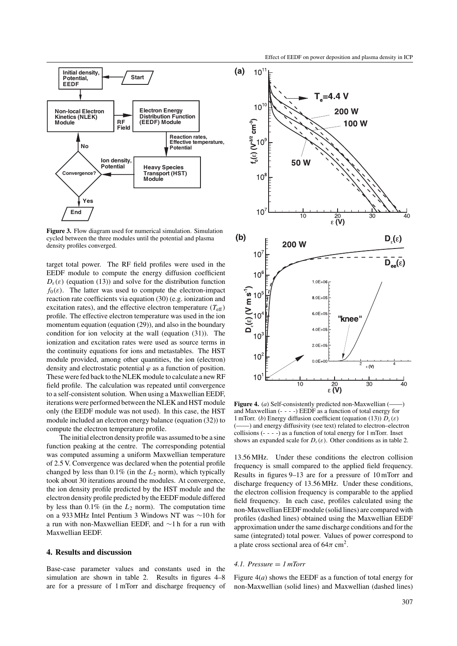

**Figure 3.** Flow diagram used for numerical simulation. Simulation cycled between the three modules until the potential and plasma density profiles converged.

target total power. The RF field profiles were used in the EEDF module to compute the energy diffusion coefficient  $D_{\varepsilon}(\varepsilon)$  (equation (13)) and solve for the distribution function  $f_0(\varepsilon)$ . The latter was used to compute the electron-impact reaction rate coefficients via equation (30) (e.g. ionization and excitation rates), and the effective electron temperature  $(T_{\text{eff}})$ profile. The effective electron temperature was used in the ion momentum equation (equation (29)), and also in the boundary condition for ion velocity at the wall (equation (31)). The ionization and excitation rates were used as source terms in the continuity equations for ions and metastables. The HST module provided, among other quantities, the ion (electron) density and electrostatic potential  $\varphi$  as a function of position. These were fed back to the NLEK module to calculate a new RF field profile. The calculation was repeated until convergence to a self-consistent solution. When using a Maxwellian EEDF, iterations were performed between the NLEK and HST module only (the EEDF module was not used). In this case, the HST module included an electron energy balance (equation (32)) to compute the electron temperature profile.

The initial electron density profile was assumed to be a sine function peaking at the centre. The corresponding potential was computed assuming a uniform Maxwellian temperature of 2.5 V. Convergence was declared when the potential profile changed by less than 0.1% (in the *L*<sup>2</sup> norm), which typically took about 30 iterations around the modules. At convergence, the ion density profile predicted by the HST module and the electron density profile predicted by the EEDF module differed by less than  $0.1\%$  (in the  $L_2$  norm). The computation time on a 933 MHz Intel Pentium 3 Windows NT was ∼10 h for a run with non-Maxwellian EEDF, and ∼1 h for a run with Maxwellian EEDF.

## **4. Results and discussion**

Base-case parameter values and constants used in the simulation are shown in table 2. Results in figures 4–8 are for a pressure of 1 mTorr and discharge frequency of



Figure 4. (*a*) Self-consistently predicted non-Maxwellian (and Maxwellian (- - - -) EEDF as a function of total energy for 1 mTorr. (*b*) Energy diffusion coefficient (equation (13))  $D_{\varepsilon}(\varepsilon)$ (——) and energy diffusivity (see text) related to electron–electron collisions (- - - -) as a function of total energy for 1 mTorr. Inset shows an expanded scale for  $D_{\varepsilon}(\varepsilon)$ . Other conditions as in table 2.

13.56 MHz. Under these conditions the electron collision frequency is small compared to the applied field frequency. Results in figures 9–13 are for a pressure of 10 mTorr and discharge frequency of 13.56 MHz. Under these conditions, the electron collision frequency is comparable to the applied field frequency. In each case, profiles calculated using the non-Maxwellian EEDF module (solid lines) are compared with profiles (dashed lines) obtained using the Maxwellian EEDF approximation under the same discharge conditions and for the same (integrated) total power. Values of power correspond to a plate cross sectional area of  $64\pi$  cm<sup>2</sup>.

#### *4.1. Pressure* = *1 mTorr*

Figure 4(*a*) shows the EEDF as a function of total energy for non-Maxwellian (solid lines) and Maxwellian (dashed lines)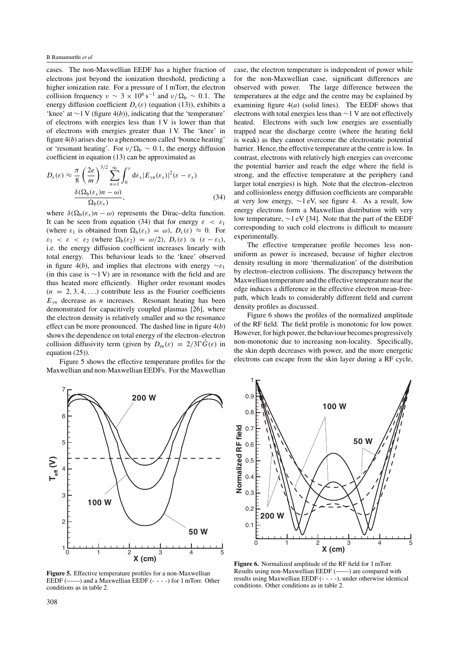cases. The non-Maxwellian EEDF has a higher fraction of electrons just beyond the ionization threshold, predicting a higher ionization rate. For a pressure of 1 mTorr, the electron collision frequency  $v \sim 3 \times 10^6$  s<sup>-1</sup> and  $v/\Omega_b \sim 0.1$ . The energy diffusion coefficient  $D_{\varepsilon}(\varepsilon)$  (equation (13)), exhibits a 'knee' at ∼1 V (figure 4(*b*)), indicating that the 'temperature' of electrons with energies less than 1 V is lower than that of electrons with energies greater than 1 V. The 'knee' in figure 4(*b*) arises due to a phenomenon called 'bounce heating' or 'resonant heating'. For  $v/\Omega_b \sim 0.1$ , the energy diffusion coefficient in equation (13) can be approximated as

$$
D_{\varepsilon}(\varepsilon) \approx \frac{\pi}{8} \left(\frac{2e}{m}\right)^{3/2} \sum_{n=1}^{\infty} \int_{0}^{\varepsilon} d\varepsilon_{x} |E_{yn}(\varepsilon_{x})|^{2} (\varepsilon - \varepsilon_{x})
$$

$$
\frac{\delta(\Omega_{b}(\varepsilon_{x})n - \omega)}{\Omega_{b}(\varepsilon_{x})},
$$
(34)

where  $\delta(\Omega_b(\varepsilon_x)n - \omega)$  represents the Dirac–delta function. It can be seen from equation (34) that for energy  $\varepsilon < \varepsilon_1$ (where  $\varepsilon_1$  is obtained from  $\Omega_b(\varepsilon_1) = \omega$ ),  $D_{\varepsilon}(\varepsilon) \approx 0$ . For  $\varepsilon_1 < \varepsilon < \varepsilon_2$  (where  $\Omega_b(\varepsilon_2) = \omega/2$ ),  $D_{\varepsilon}(\varepsilon) \propto (\varepsilon - \varepsilon_1)$ , i.e. the energy diffusion coefficient increases linearly with total energy. This behaviour leads to the 'knee' observed in figure 4(*b*), and implies that electrons with energy  $~\sim \varepsilon_1$ (in this case is  $\sim$ 1 V) are in resonance with the field and are thus heated more efficiently. Higher order resonant modes  $(n = 2, 3, 4, ...)$  contribute less as the Fourier coefficients  $E_{yn}$  decrease as *n* increases. Resonant heating has been demonstrated for capacitively coupled plasmas [26], where the electron density is relatively smaller and so the resonance effect can be more pronounced. The dashed line in figure 4(*b*) shows the dependence on total energy of the electron–electron collision diffusivity term (given by  $D_{ee}(\varepsilon) = 2/3\Gamma G(\varepsilon)$  in equation (25)).

Figure 5 shows the effective temperature profiles for the Maxwellian and non-Maxwellian EEDFs. For the Maxwellian case, the electron temperature is independent of power while for the non-Maxwellian case, significant differences are observed with power. The large difference between the temperatures at the edge and the centre may be explained by examining figure  $4(a)$  (solid lines). The EEDF shows that electrons with total energies less than ∼1 V are not effectively heated. Electrons with such low energies are essentially trapped near the discharge centre (where the heating field is weak) as they cannot overcome the electrostatic potential barrier. Hence, the effective temperature at the centre is low. In contrast, electrons with relatively high energies can overcome the potential barrier and reach the edge where the field is strong, and the effective temperature at the periphery (and larger total energies) is high. Note that the electron–electron and collisionless energy diffusion coefficients are comparable at very low energy, ∼1 eV, see figure 4. As a result, low energy electrons form a Maxwellian distribution with very low temperature, ∼1 eV [34]. Note that the part of the EEDF corresponding to such cold electrons is difficult to measure experimentally.

The effective temperature profile becomes less nonuniform as power is increased, because of higher electron density resulting in more 'thermalization' of the distribution by electron–electron collisions. The discrepancy between the Maxwellian temperature and the effective temperature near the edge induces a difference in the effective electron mean-freepath, which leads to considerably different field and current density profiles as discussed.

Figure 6 shows the profiles of the normalized amplitude of the RF field. The field profile is monotonic for low power. However, for high power, the behaviour becomes progressively non-monotonic due to increasing non-locality. Specifically, the skin depth decreases with power, and the more energetic electrons can escape from the skin layer during a RF cycle,



**Figure 5.** Effective temperature profiles for a non-Maxwellian EEDF (——) and a Maxwellian EEDF (- - - -) for 1 mTorr. Other conditions as in table 2.



**Figure 6.** Normalized amplitude of the RF field for 1 mTorr. Results using non-Maxwellian EEDF (——) are compared with results using Maxwellian EEDF (- - - -), under otherwise identical conditions. Other conditions as in table 2.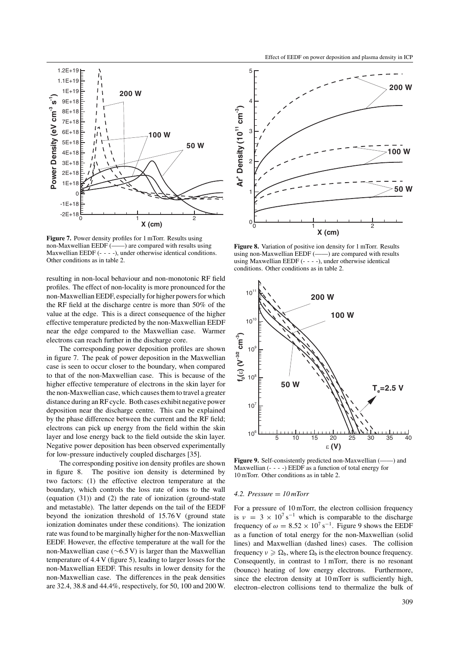

**Figure 7.** Power density profiles for 1 mTorr. Results using non-Maxwellian EEDF (——) are compared with results using Maxwellian EEDF (- - - -), under otherwise identical conditions. Other conditions as in table 2.

resulting in non-local behaviour and non-monotonic RF field profiles. The effect of non-locality is more pronounced for the non-Maxwellian EEDF, especially for higher powers for which the RF field at the discharge centre is more than 50% of the value at the edge. This is a direct consequence of the higher effective temperature predicted by the non-Maxwellian EEDF near the edge compared to the Maxwellian case. Warmer electrons can reach further in the discharge core.

The corresponding power deposition profiles are shown in figure 7. The peak of power deposition in the Maxwellian case is seen to occur closer to the boundary, when compared to that of the non-Maxwellian case. This is because of the higher effective temperature of electrons in the skin layer for the non-Maxwellian case, which causes them to travel a greater distance during an RF cycle. Both cases exhibit negative power deposition near the discharge centre. This can be explained by the phase difference between the current and the RF field; electrons can pick up energy from the field within the skin layer and lose energy back to the field outside the skin layer. Negative power deposition has been observed experimentally for low-pressure inductively coupled discharges [35].

The corresponding positive ion density profiles are shown in figure 8. The positive ion density is determined by two factors: (1) the effective electron temperature at the boundary, which controls the loss rate of ions to the wall (equation (31)) and (2) the rate of ionization (ground-state and metastable). The latter depends on the tail of the EEDF beyond the ionization threshold of 15.76 V (ground state ionization dominates under these conditions). The ionization rate was found to be marginally higher for the non-Maxwellian EEDF. However, the effective temperature at the wall for the non-Maxwellian case (∼6.5 V) is larger than the Maxwellian temperature of 4.4 V (figure 5), leading to larger losses for the non-Maxwellian EEDF. This results in lower density for the non-Maxwellian case. The differences in the peak densities are 32.4, 38.8 and 44.4%, respectively, for 50, 100 and 200 W.



**Figure 8.** Variation of positive ion density for 1 mTorr. Results using non-Maxwellian EEDF (——) are compared with results using Maxwellian EEDF (- - - -), under otherwise identical conditions. Other conditions as in table 2.



**Figure 9.** Self-consistently predicted non-Maxwellian (——) and Maxwellian (- - - -) EEDF as a function of total energy for 10 mTorr. Other conditions as in table 2.

#### *4.2. Pressure* = *10 mTorr*

For a pressure of 10 mTorr, the electron collision frequency is  $v = 3 \times 10^{7} \text{ s}^{-1}$  which is comparable to the discharge frequency of  $\omega = 8.52 \times 10^7 \text{ s}^{-1}$ . Figure 9 shows the EEDF as a function of total energy for the non-Maxwellian (solid lines) and Maxwellian (dashed lines) cases. The collision frequency  $\nu \geqslant \Omega_{\rm b}$ , where  $\Omega_{\rm b}$  is the electron bounce frequency. Consequently, in contrast to 1 mTorr, there is no resonant (bounce) heating of low energy electrons. Furthermore, since the electron density at 10 mTorr is sufficiently high, electron–electron collisions tend to thermalize the bulk of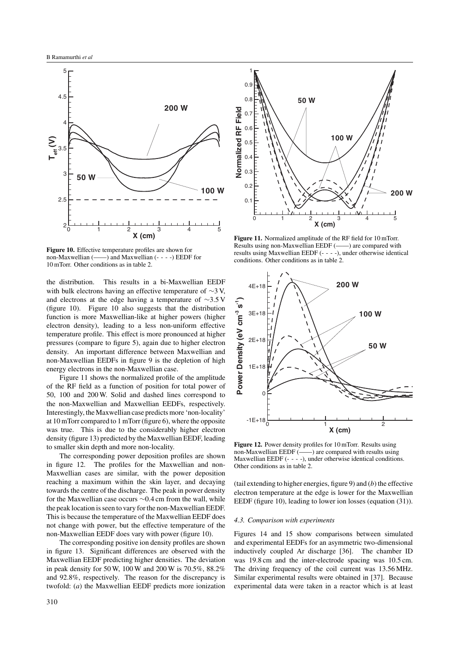

**Figure 10.** Effective temperature profiles are shown for non-Maxwellian (——) and Maxwellian (- - - -) EEDF for 10 mTorr. Other conditions as in table 2.

the distribution. This results in a bi-Maxwellian EEDF with bulk electrons having an effective temperature of ∼3 V, and electrons at the edge having a temperature of ∼3.5 V (figure 10). Figure 10 also suggests that the distribution function is more Maxwellian-like at higher powers (higher electron density), leading to a less non-uniform effective temperature profile. This effect is more pronounced at higher pressures (compare to figure 5), again due to higher electron density. An important difference between Maxwellian and non-Maxwellian EEDFs in figure 9 is the depletion of high energy electrons in the non-Maxwellian case.

Figure 11 shows the normalized profile of the amplitude of the RF field as a function of position for total power of 50, 100 and 200 W. Solid and dashed lines correspond to the non-Maxwellian and Maxwellian EEDFs, respectively. Interestingly, the Maxwellian case predicts more 'non-locality' at 10 mTorr compared to 1 mTorr (figure 6), where the opposite was true. This is due to the considerably higher electron density (figure 13) predicted by the Maxwellian EEDF, leading to smaller skin depth and more non-locality.

The corresponding power deposition profiles are shown in figure 12. The profiles for the Maxwellian and non-Maxwellian cases are similar, with the power deposition reaching a maximum within the skin layer, and decaying towards the centre of the discharge. The peak in power density for the Maxwellian case occurs ∼0.4 cm from the wall, while the peak location is seen to vary for the non-Maxwellian EEDF. This is because the temperature of the Maxwellian EEDF does not change with power, but the effective temperature of the non-Maxwellian EEDF does vary with power (figure 10).

The corresponding positive ion density profiles are shown in figure 13. Significant differences are observed with the Maxwellian EEDF predicting higher densities. The deviation in peak density for 50 W, 100 W and 200 W is 70.5%, 88.2% and 92.8%, respectively. The reason for the discrepancy is twofold: (*a*) the Maxwellian EEDF predicts more ionization



**Figure 11.** Normalized amplitude of the RF field for 10 mTorr. Results using non-Maxwellian EEDF (——) are compared with results using Maxwellian EEDF (- - - -), under otherwise identical conditions. Other conditions as in table 2.



**Figure 12.** Power density profiles for 10 mTorr. Results using non-Maxwellian EEDF (——) are compared with results using Maxwellian EEDF (- - - -), under otherwise identical conditions. Other conditions as in table 2.

(tail extending to higher energies, figure 9) and (*b*) the effective electron temperature at the edge is lower for the Maxwellian EEDF (figure 10), leading to lower ion losses (equation (31)).

#### *4.3. Comparison with experiments*

Figures 14 and 15 show comparisons between simulated and experimental EEDFs for an asymmetric two-dimensional inductively coupled Ar discharge [36]. The chamber ID was 19.8 cm and the inter-electrode spacing was 10.5 cm. The driving frequency of the coil current was 13.56 MHz. Similar experimental results were obtained in [37]. Because experimental data were taken in a reactor which is at least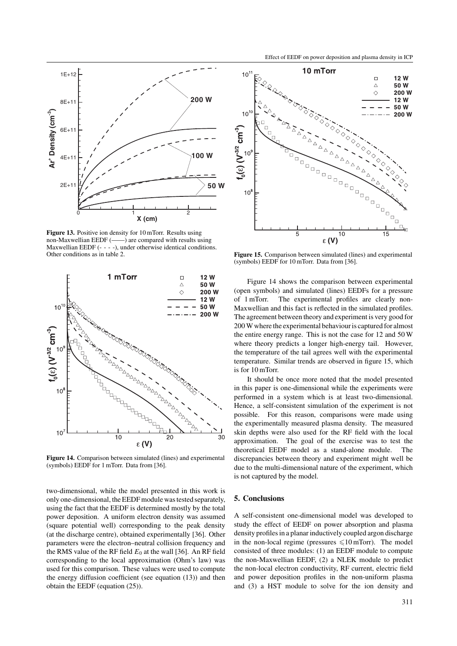

**Figure 13.** Positive ion density for 10 mTorr. Results using -) are compared with results using Maxwellian EEDF (- - - -), under otherwise identical conditions. Other conditions as in table 2.



**Figure 14.** Comparison between simulated (lines) and experimental (symbols) EEDF for 1 mTorr. Data from [36].

two-dimensional, while the model presented in this work is only one-dimensional, the EEDF module was tested separately, using the fact that the EEDF is determined mostly by the total power deposition. A uniform electron density was assumed (square potential well) corresponding to the peak density (at the discharge centre), obtained experimentally [36]. Other parameters were the electron–neutral collision frequency and the RMS value of the RF field  $E_0$  at the wall [36]. An RF field corresponding to the local approximation (Ohm's law) was used for this comparison. These values were used to compute the energy diffusion coefficient (see equation (13)) and then obtain the EEDF (equation (25)).



**Figure 15.** Comparison between simulated (lines) and experimental (symbols) EEDF for 10 mTorr. Data from [36].

Figure 14 shows the comparison between experimental (open symbols) and simulated (lines) EEDFs for a pressure of 1 mTorr. The experimental profiles are clearly non-Maxwellian and this fact is reflected in the simulated profiles. The agreement between theory and experiment is very good for 200 W where the experimental behaviour is captured for almost the entire energy range. This is not the case for 12 and 50 W where theory predicts a longer high-energy tail. However, the temperature of the tail agrees well with the experimental temperature. Similar trends are observed in figure 15, which is for 10 mTorr.

It should be once more noted that the model presented in this paper is one-dimensional while the experiments were performed in a system which is at least two-dimensional. Hence, a self-consistent simulation of the experiment is not possible. For this reason, comparisons were made using the experimentally measured plasma density. The measured skin depths were also used for the RF field with the local approximation. The goal of the exercise was to test the theoretical EEDF model as a stand-alone module. The discrepancies between theory and experiment might well be due to the multi-dimensional nature of the experiment, which is not captured by the model.

## **5. Conclusions**

A self-consistent one-dimensional model was developed to study the effect of EEDF on power absorption and plasma density profiles in a planar inductively coupled argon discharge in the non-local regime (pressures  $\leq 10$  mTorr). The model consisted of three modules: (1) an EEDF module to compute the non-Maxwellian EEDF, (2) a NLEK module to predict the non-local electron conductivity, RF current, electric field and power deposition profiles in the non-uniform plasma and (3) a HST module to solve for the ion density and